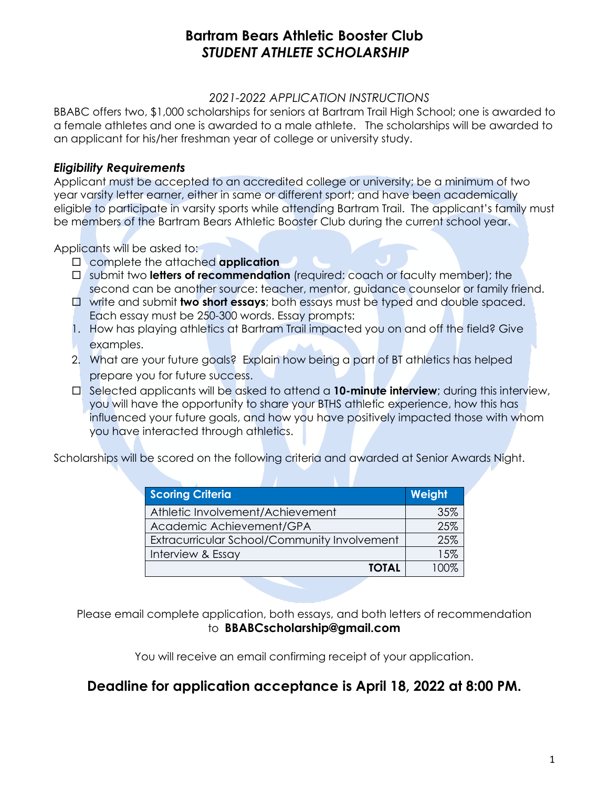### **Bartram Bears Athletic Booster Club**  *STUDENT ATHLETE SCHOLARSHIP*

#### *2021-2022 APPLICATION INSTRUCTIONS*

BBABC offers two, \$1,000 scholarships for seniors at Bartram Trail High School; one is awarded to a female athletes and one is awarded to a male athlete. The scholarships will be awarded to an applicant for his/her freshman year of college or university study.

#### *Eligibility Requirements*

Applicant must be accepted to an accredited college or university; be a minimum of two year varsity letter earner, either in same or different sport; and have been academically eligible to participate in varsity sports while attending Bartram Trail. The applicant's family must be members of the Bartram Bears Athletic Booster Club during the current school year.

Applicants will be asked to:

- complete the attached **application**
- submit two **letters of recommendation** (required: coach or faculty member); the second can be another source: teacher, mentor, guidance counselor or family friend.
- write and submit **two short essays**; both essays must be typed and double spaced. Each essay must be 250-300 words. Essay prompts:
- 1. How has playing athletics at Bartram Trail impacted you on and off the field? Give examples.
- 2. What are your future goals? Explain how being a part of BT athletics has helped prepare you for future success.
- □ Selected applicants will be asked to attend a **10-minute interview**; during this interview, you will have the opportunity to share your BTHS athletic experience, how this has influenced your future goals, and how you have positively impacted those with whom you have interacted through athletics.

Scholarships will be scored on the following criteria and awarded at Senior Awards Night.

| <b>Scoring Criteria</b>                      | Weight |
|----------------------------------------------|--------|
| Athletic Involvement/Achievement             | 35%    |
| Academic Achievement/GPA                     | 25%    |
| Extracurricular School/Community Involvement | 25%    |
| Interview & Essay                            | 1.5%   |
| <b>TOTAL</b>                                 |        |

Please email complete application, both essays, and both letters of recommendation to **BBABCscholarship@gmail.com** 

You will receive an email confirming receipt of your application.

## **Deadline for application acceptance is April 18, 2022 at 8:00 PM.**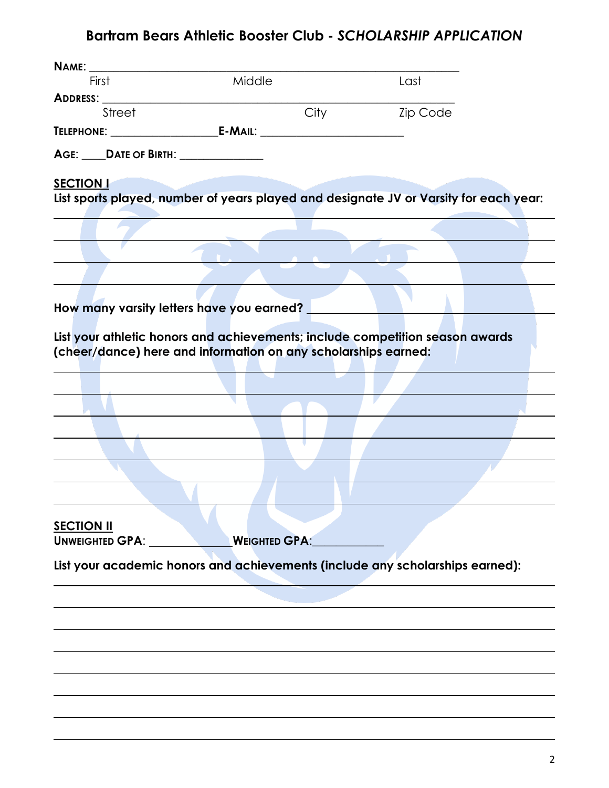# **Bartram Bears Athletic Booster Club -** *SCHOLARSHIP APPLICATION*

| First                                                          | Middle               |      | Last                                                                                  |  |
|----------------------------------------------------------------|----------------------|------|---------------------------------------------------------------------------------------|--|
| ADDRESS: NAME OF STREET                                        |                      |      |                                                                                       |  |
| Street                                                         |                      | City | <b>Zip Code</b>                                                                       |  |
|                                                                |                      |      |                                                                                       |  |
| AGE: _____DATE OF BIRTH: _______________                       |                      |      |                                                                                       |  |
|                                                                |                      |      |                                                                                       |  |
| <b>SECTION I</b>                                               |                      |      | List sports played, number of years played and designate JV or Varsity for each year: |  |
|                                                                |                      |      |                                                                                       |  |
|                                                                |                      |      |                                                                                       |  |
|                                                                |                      |      |                                                                                       |  |
|                                                                |                      |      |                                                                                       |  |
|                                                                |                      |      |                                                                                       |  |
|                                                                |                      |      |                                                                                       |  |
| How many varsity letters have you earned?                      |                      |      |                                                                                       |  |
|                                                                |                      |      | List your athletic honors and achievements; include competition season awards         |  |
| (cheer/dance) here and information on any scholarships earned: |                      |      |                                                                                       |  |
|                                                                |                      |      |                                                                                       |  |
|                                                                |                      |      |                                                                                       |  |
|                                                                |                      |      |                                                                                       |  |
|                                                                |                      |      |                                                                                       |  |
|                                                                |                      |      |                                                                                       |  |
|                                                                |                      |      |                                                                                       |  |
|                                                                |                      |      |                                                                                       |  |
|                                                                |                      |      |                                                                                       |  |
|                                                                |                      |      |                                                                                       |  |
| <b>SECTION II</b>                                              |                      |      |                                                                                       |  |
| UNWEIGHTED GPA:                                                | <b>WEIGHTED GPA:</b> |      |                                                                                       |  |
|                                                                |                      |      | List your academic honors and achievements (include any scholarships earned):         |  |
|                                                                |                      |      |                                                                                       |  |
|                                                                |                      |      |                                                                                       |  |
|                                                                |                      |      |                                                                                       |  |
|                                                                |                      |      |                                                                                       |  |
|                                                                |                      |      |                                                                                       |  |
|                                                                |                      |      |                                                                                       |  |
|                                                                |                      |      |                                                                                       |  |
|                                                                |                      |      |                                                                                       |  |
|                                                                |                      |      |                                                                                       |  |